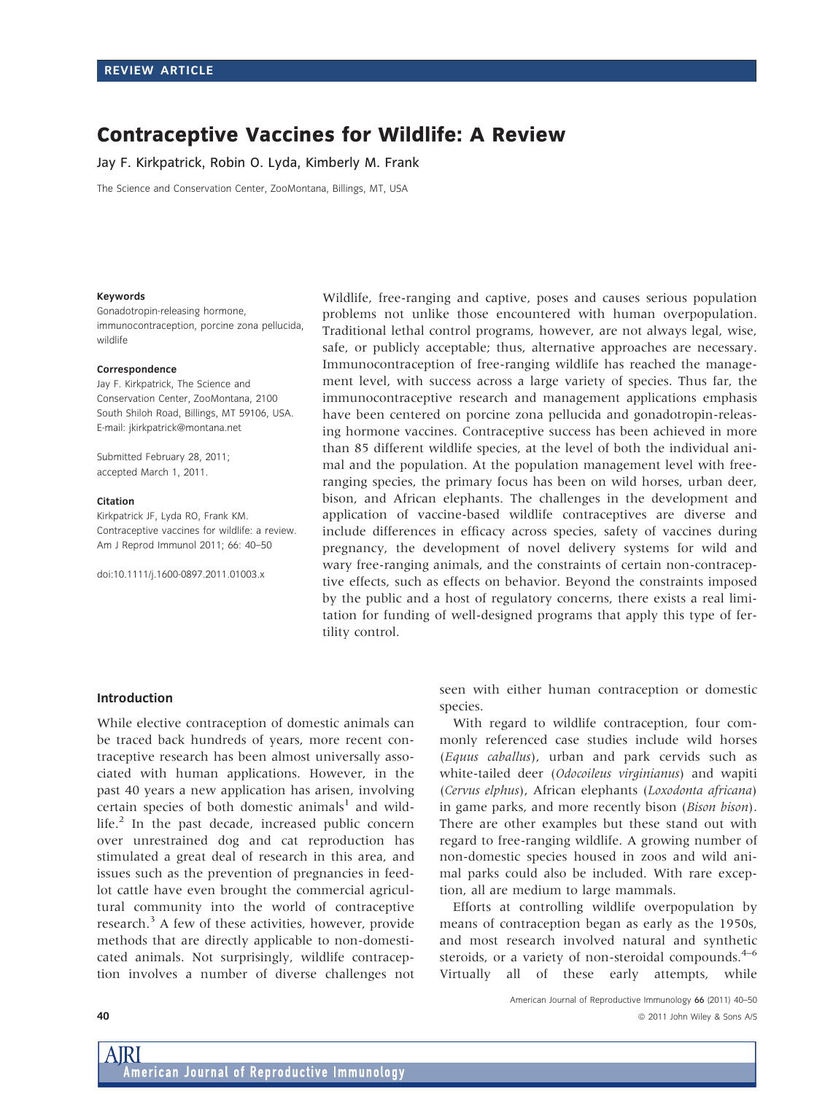# Contraceptive Vaccines for Wildlife: A Review

Jay F. Kirkpatrick, Robin O. Lyda, Kimberly M. Frank

The Science and Conservation Center, ZooMontana, Billings, MT, USA

### Keywords

Gonadotropin-releasing hormone, immunocontraception, porcine zona pellucida, wildlife

## **Correspondence**

Jay F. Kirkpatrick, The Science and Conservation Center, ZooMontana, 2100 South Shiloh Road, Billings, MT 59106, USA. E-mail: jkirkpatrick@montana.net

Submitted February 28, 2011; accepted March 1, 2011.

## Citation

Kirkpatrick JF, Lyda RO, Frank KM. Contraceptive vaccines for wildlife: a review. Am J Reprod Immunol 2011; 66: 40–50

doi:10.1111/j.1600-0897.2011.01003.x

Wildlife, free-ranging and captive, poses and causes serious population problems not unlike those encountered with human overpopulation. Traditional lethal control programs, however, are not always legal, wise, safe, or publicly acceptable; thus, alternative approaches are necessary. Immunocontraception of free-ranging wildlife has reached the management level, with success across a large variety of species. Thus far, the immunocontraceptive research and management applications emphasis have been centered on porcine zona pellucida and gonadotropin-releasing hormone vaccines. Contraceptive success has been achieved in more than 85 different wildlife species, at the level of both the individual animal and the population. At the population management level with freeranging species, the primary focus has been on wild horses, urban deer, bison, and African elephants. The challenges in the development and application of vaccine-based wildlife contraceptives are diverse and include differences in efficacy across species, safety of vaccines during pregnancy, the development of novel delivery systems for wild and wary free-ranging animals, and the constraints of certain non-contraceptive effects, such as effects on behavior. Beyond the constraints imposed by the public and a host of regulatory concerns, there exists a real limitation for funding of well-designed programs that apply this type of fertility control.

## Introduction

While elective contraception of domestic animals can be traced back hundreds of years, more recent contraceptive research has been almost universally associated with human applications. However, in the past 40 years a new application has arisen, involving certain species of both domestic animals<sup>1</sup> and wildlife.<sup>2</sup> In the past decade, increased public concern over unrestrained dog and cat reproduction has stimulated a great deal of research in this area, and issues such as the prevention of pregnancies in feedlot cattle have even brought the commercial agricultural community into the world of contraceptive research.<sup>3</sup> A few of these activities, however, provide methods that are directly applicable to non-domesticated animals. Not surprisingly, wildlife contraception involves a number of diverse challenges not seen with either human contraception or domestic species.

With regard to wildlife contraception, four commonly referenced case studies include wild horses (Equus caballus), urban and park cervids such as white-tailed deer (Odocoileus virginianus) and wapiti (Cervus elphus), African elephants (Loxodonta africana) in game parks, and more recently bison (Bison bison). There are other examples but these stand out with regard to free-ranging wildlife. A growing number of non-domestic species housed in zoos and wild animal parks could also be included. With rare exception, all are medium to large mammals.

Efforts at controlling wildlife overpopulation by means of contraception began as early as the 1950s, and most research involved natural and synthetic steroids, or a variety of non-steroidal compounds. $4-6$ Virtually all of these early attempts, while

American Journal of Reproductive Immunology 66 (2011) 40–50 **40**  $\degree$  2011 John Wiley & Sons A/S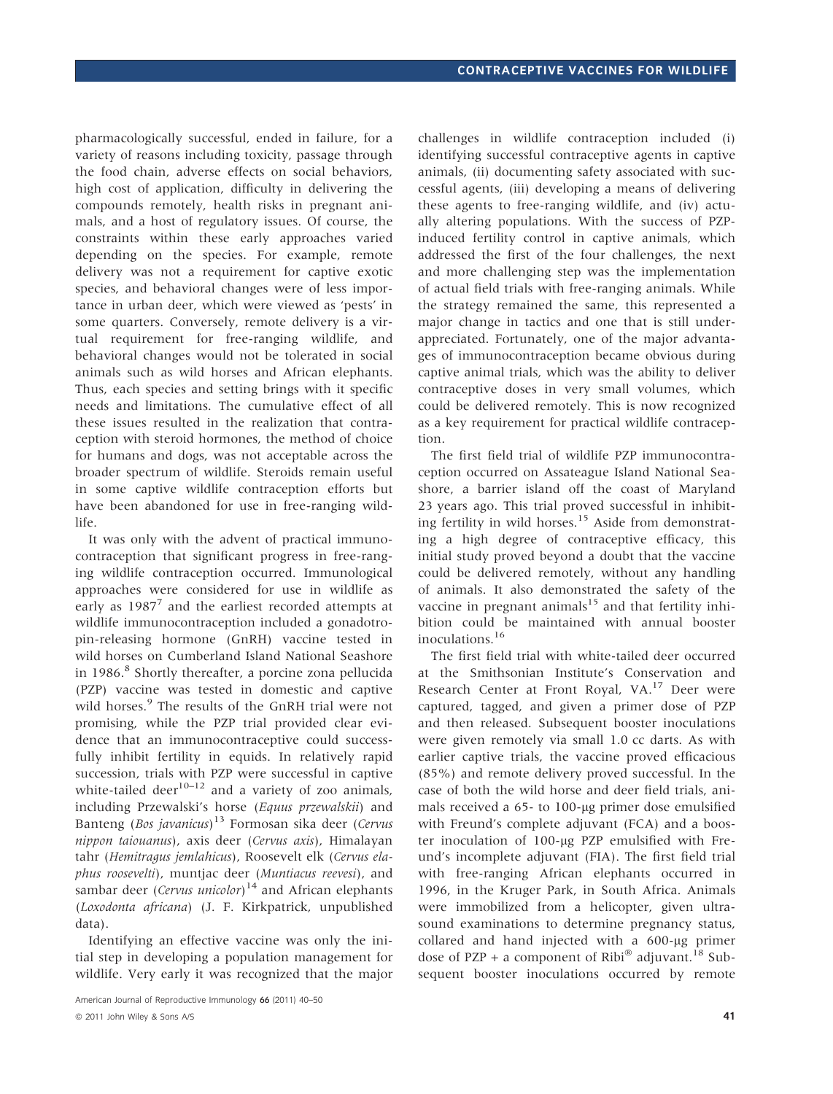pharmacologically successful, ended in failure, for a variety of reasons including toxicity, passage through the food chain, adverse effects on social behaviors, high cost of application, difficulty in delivering the compounds remotely, health risks in pregnant animals, and a host of regulatory issues. Of course, the constraints within these early approaches varied depending on the species. For example, remote delivery was not a requirement for captive exotic species, and behavioral changes were of less importance in urban deer, which were viewed as 'pests' in some quarters. Conversely, remote delivery is a virtual requirement for free-ranging wildlife, and behavioral changes would not be tolerated in social animals such as wild horses and African elephants. Thus, each species and setting brings with it specific needs and limitations. The cumulative effect of all these issues resulted in the realization that contraception with steroid hormones, the method of choice for humans and dogs, was not acceptable across the broader spectrum of wildlife. Steroids remain useful in some captive wildlife contraception efforts but have been abandoned for use in free-ranging wildlife.

It was only with the advent of practical immunocontraception that significant progress in free-ranging wildlife contraception occurred. Immunological approaches were considered for use in wildlife as early as 1987<sup>7</sup> and the earliest recorded attempts at wildlife immunocontraception included a gonadotropin-releasing hormone (GnRH) vaccine tested in wild horses on Cumberland Island National Seashore in 1986.<sup>8</sup> Shortly thereafter, a porcine zona pellucida (PZP) vaccine was tested in domestic and captive wild horses.<sup>9</sup> The results of the GnRH trial were not promising, while the PZP trial provided clear evidence that an immunocontraceptive could successfully inhibit fertility in equids. In relatively rapid succession, trials with PZP were successful in captive white-tailed deer $10-12$  and a variety of zoo animals, including Przewalski's horse (Equus przewalskii) and Banteng (*Bos javanicus*)<sup>13</sup> Formosan sika deer (*Cervus* nippon taiouanus), axis deer (Cervus axis), Himalayan tahr (Hemitragus jemlahicus), Roosevelt elk (Cervus elaphus roosevelti), muntjac deer (Muntiacus reevesi), and sambar deer (Cervus unicolor)<sup>14</sup> and African elephants (Loxodonta africana) (J. F. Kirkpatrick, unpublished data).

Identifying an effective vaccine was only the initial step in developing a population management for wildlife. Very early it was recognized that the major

American Journal of Reproductive Immunology 66 (2011) 40–50  $\circledcirc$  2011 John Wiley & Sons A/S 41

challenges in wildlife contraception included (i) identifying successful contraceptive agents in captive animals, (ii) documenting safety associated with successful agents, (iii) developing a means of delivering these agents to free-ranging wildlife, and (iv) actually altering populations. With the success of PZPinduced fertility control in captive animals, which addressed the first of the four challenges, the next and more challenging step was the implementation of actual field trials with free-ranging animals. While the strategy remained the same, this represented a major change in tactics and one that is still underappreciated. Fortunately, one of the major advantages of immunocontraception became obvious during captive animal trials, which was the ability to deliver contraceptive doses in very small volumes, which could be delivered remotely. This is now recognized as a key requirement for practical wildlife contraception.

The first field trial of wildlife PZP immunocontraception occurred on Assateague Island National Seashore, a barrier island off the coast of Maryland 23 years ago. This trial proved successful in inhibiting fertility in wild horses.<sup>15</sup> Aside from demonstrating a high degree of contraceptive efficacy, this initial study proved beyond a doubt that the vaccine could be delivered remotely, without any handling of animals. It also demonstrated the safety of the vaccine in pregnant animals $15$  and that fertility inhibition could be maintained with annual booster inoculations.<sup>16</sup>

The first field trial with white-tailed deer occurred at the Smithsonian Institute's Conservation and Research Center at Front Royal, VA.<sup>17</sup> Deer were captured, tagged, and given a primer dose of PZP and then released. Subsequent booster inoculations were given remotely via small 1.0 cc darts. As with earlier captive trials, the vaccine proved efficacious (85%) and remote delivery proved successful. In the case of both the wild horse and deer field trials, animals received a 65- to 100-µg primer dose emulsified with Freund's complete adjuvant (FCA) and a booster inoculation of 100-µg PZP emulsified with Freund's incomplete adjuvant (FIA). The first field trial with free-ranging African elephants occurred in 1996, in the Kruger Park, in South Africa. Animals were immobilized from a helicopter, given ultrasound examinations to determine pregnancy status, collared and hand injected with a 600-µg primer dose of PZP + a component of Ribi<sup>®</sup> adjuvant.<sup>18</sup> Subsequent booster inoculations occurred by remote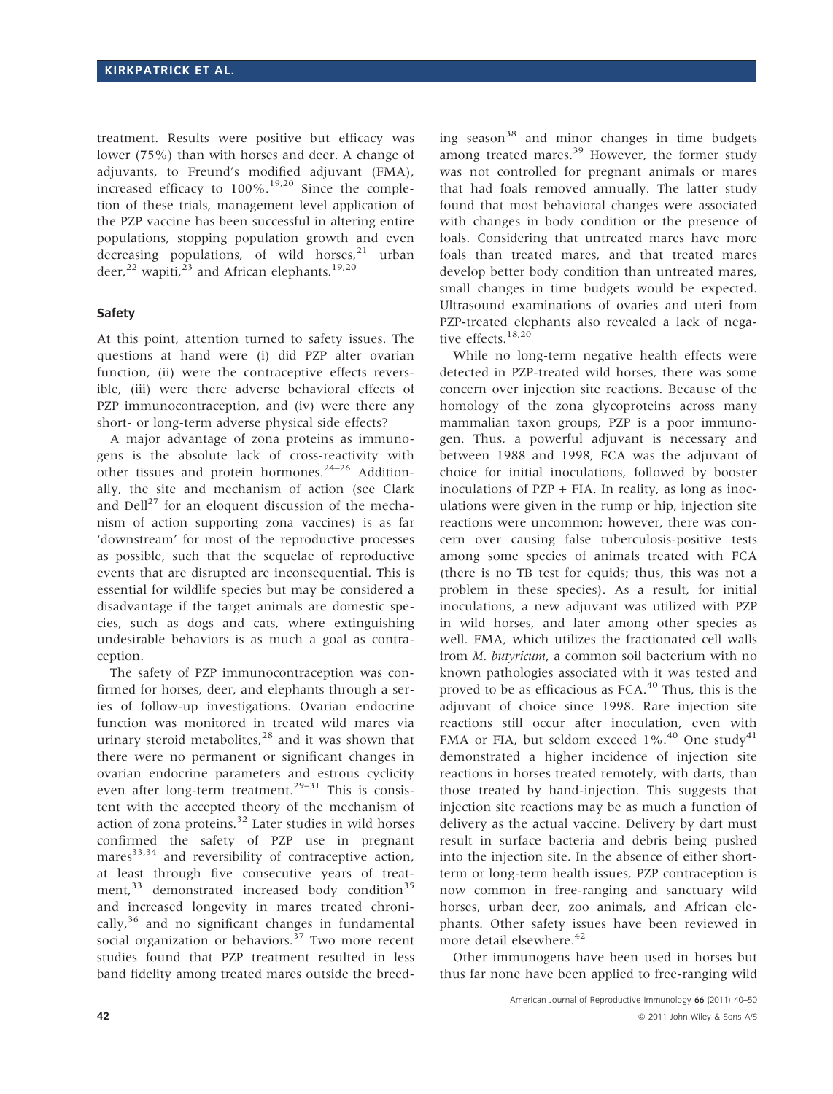treatment. Results were positive but efficacy was lower (75%) than with horses and deer. A change of adjuvants, to Freund's modified adjuvant (FMA), increased efficacy to  $100\%$ .<sup>19,20</sup> Since the completion of these trials, management level application of the PZP vaccine has been successful in altering entire populations, stopping population growth and even decreasing populations, of wild horses,<sup>21</sup> urban deer,<sup>22</sup> wapiti,<sup>23</sup> and African elephants.<sup>19,20</sup>

## **Safety**

At this point, attention turned to safety issues. The questions at hand were (i) did PZP alter ovarian function, (ii) were the contraceptive effects reversible, (iii) were there adverse behavioral effects of PZP immunocontraception, and (iv) were there any short- or long-term adverse physical side effects?

A major advantage of zona proteins as immunogens is the absolute lack of cross-reactivity with other tissues and protein hormones. $24-26$  Additionally, the site and mechanism of action (see Clark and Dell<sup>27</sup> for an eloquent discussion of the mechanism of action supporting zona vaccines) is as far 'downstream' for most of the reproductive processes as possible, such that the sequelae of reproductive events that are disrupted are inconsequential. This is essential for wildlife species but may be considered a disadvantage if the target animals are domestic species, such as dogs and cats, where extinguishing undesirable behaviors is as much a goal as contraception.

The safety of PZP immunocontraception was confirmed for horses, deer, and elephants through a series of follow-up investigations. Ovarian endocrine function was monitored in treated wild mares via urinary steroid metabolites, $28$  and it was shown that there were no permanent or significant changes in ovarian endocrine parameters and estrous cyclicity even after long-term treatment.<sup>29–31</sup> This is consistent with the accepted theory of the mechanism of action of zona proteins.<sup>32</sup> Later studies in wild horses confirmed the safety of PZP use in pregnant mares<sup>33,34</sup> and reversibility of contraceptive action, at least through five consecutive years of treatment,<sup>33</sup> demonstrated increased body condition<sup>35</sup> and increased longevity in mares treated chronically,<sup>36</sup> and no significant changes in fundamental social organization or behaviors.<sup>37</sup> Two more recent studies found that PZP treatment resulted in less band fidelity among treated mares outside the breeding season<sup>38</sup> and minor changes in time budgets among treated mares.<sup>39</sup> However, the former study was not controlled for pregnant animals or mares that had foals removed annually. The latter study found that most behavioral changes were associated with changes in body condition or the presence of foals. Considering that untreated mares have more foals than treated mares, and that treated mares develop better body condition than untreated mares, small changes in time budgets would be expected. Ultrasound examinations of ovaries and uteri from PZP-treated elephants also revealed a lack of negative effects.<sup>18,20</sup>

While no long-term negative health effects were detected in PZP-treated wild horses, there was some concern over injection site reactions. Because of the homology of the zona glycoproteins across many mammalian taxon groups, PZP is a poor immunogen. Thus, a powerful adjuvant is necessary and between 1988 and 1998, FCA was the adjuvant of choice for initial inoculations, followed by booster inoculations of PZP + FIA. In reality, as long as inoculations were given in the rump or hip, injection site reactions were uncommon; however, there was concern over causing false tuberculosis-positive tests among some species of animals treated with FCA (there is no TB test for equids; thus, this was not a problem in these species). As a result, for initial inoculations, a new adjuvant was utilized with PZP in wild horses, and later among other species as well. FMA, which utilizes the fractionated cell walls from M. butyricum, a common soil bacterium with no known pathologies associated with it was tested and proved to be as efficacious as FCA.<sup>40</sup> Thus, this is the adjuvant of choice since 1998. Rare injection site reactions still occur after inoculation, even with FMA or FIA, but seldom exceed  $1\%$ .<sup>40</sup> One study<sup>41</sup> demonstrated a higher incidence of injection site reactions in horses treated remotely, with darts, than those treated by hand-injection. This suggests that injection site reactions may be as much a function of delivery as the actual vaccine. Delivery by dart must result in surface bacteria and debris being pushed into the injection site. In the absence of either shortterm or long-term health issues, PZP contraception is now common in free-ranging and sanctuary wild horses, urban deer, zoo animals, and African elephants. Other safety issues have been reviewed in more detail elsewhere.<sup>42</sup>

Other immunogens have been used in horses but thus far none have been applied to free-ranging wild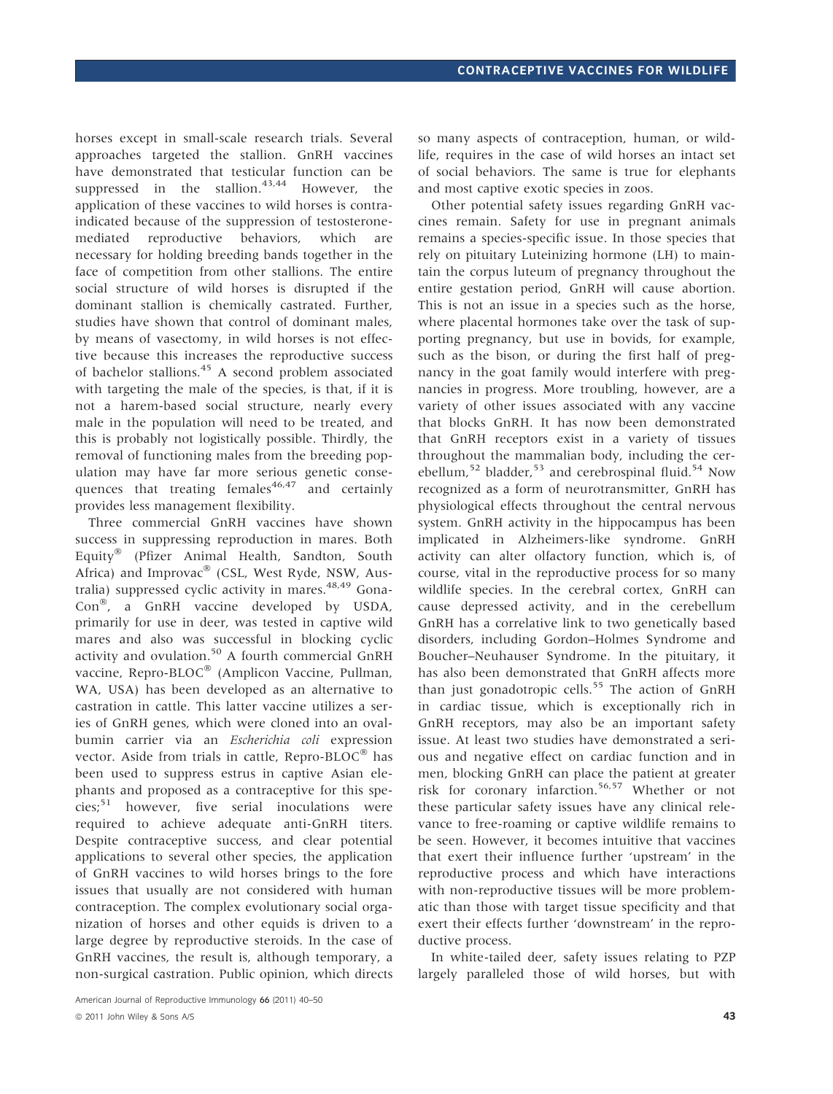horses except in small-scale research trials. Several approaches targeted the stallion. GnRH vaccines have demonstrated that testicular function can be suppressed in the stallion. $43,44$  However, the application of these vaccines to wild horses is contraindicated because of the suppression of testosteronemediated reproductive behaviors, which are necessary for holding breeding bands together in the face of competition from other stallions. The entire social structure of wild horses is disrupted if the dominant stallion is chemically castrated. Further, studies have shown that control of dominant males, by means of vasectomy, in wild horses is not effective because this increases the reproductive success of bachelor stallions.<sup>45</sup> A second problem associated with targeting the male of the species, is that, if it is not a harem-based social structure, nearly every male in the population will need to be treated, and this is probably not logistically possible. Thirdly, the removal of functioning males from the breeding population may have far more serious genetic consequences that treating females $46.47$  and certainly provides less management flexibility.

Three commercial GnRH vaccines have shown success in suppressing reproduction in mares. Both Equity! (Pfizer Animal Health, Sandton, South Africa) and Improvac® (CSL, West Ryde, NSW, Australia) suppressed cyclic activity in mares. $48,49$  Gona-Con<sup>®</sup>, a GnRH vaccine developed by USDA, primarily for use in deer, was tested in captive wild mares and also was successful in blocking cyclic activity and ovulation.<sup>50</sup> A fourth commercial GnRH vaccine, Repro-BLOC® (Amplicon Vaccine, Pullman, WA, USA) has been developed as an alternative to castration in cattle. This latter vaccine utilizes a series of GnRH genes, which were cloned into an ovalbumin carrier via an Escherichia coli expression vector. Aside from trials in cattle,  $Repro-BLOC^®$  has been used to suppress estrus in captive Asian elephants and proposed as a contraceptive for this species;51 however, five serial inoculations were required to achieve adequate anti-GnRH titers. Despite contraceptive success, and clear potential applications to several other species, the application of GnRH vaccines to wild horses brings to the fore issues that usually are not considered with human contraception. The complex evolutionary social organization of horses and other equids is driven to a large degree by reproductive steroids. In the case of GnRH vaccines, the result is, although temporary, a non-surgical castration. Public opinion, which directs so many aspects of contraception, human, or wildlife, requires in the case of wild horses an intact set of social behaviors. The same is true for elephants and most captive exotic species in zoos.

Other potential safety issues regarding GnRH vaccines remain. Safety for use in pregnant animals remains a species-specific issue. In those species that rely on pituitary Luteinizing hormone (LH) to maintain the corpus luteum of pregnancy throughout the entire gestation period, GnRH will cause abortion. This is not an issue in a species such as the horse, where placental hormones take over the task of supporting pregnancy, but use in bovids, for example, such as the bison, or during the first half of pregnancy in the goat family would interfere with pregnancies in progress. More troubling, however, are a variety of other issues associated with any vaccine that blocks GnRH. It has now been demonstrated that GnRH receptors exist in a variety of tissues throughout the mammalian body, including the cerebellum, $52$  bladder,  $53$  and cerebrospinal fluid.<sup>54</sup> Now recognized as a form of neurotransmitter, GnRH has physiological effects throughout the central nervous system. GnRH activity in the hippocampus has been implicated in Alzheimers-like syndrome. GnRH activity can alter olfactory function, which is, of course, vital in the reproductive process for so many wildlife species. In the cerebral cortex, GnRH can cause depressed activity, and in the cerebellum GnRH has a correlative link to two genetically based disorders, including Gordon–Holmes Syndrome and Boucher–Neuhauser Syndrome. In the pituitary, it has also been demonstrated that GnRH affects more than just gonadotropic cells.<sup>55</sup> The action of GnRH in cardiac tissue, which is exceptionally rich in GnRH receptors, may also be an important safety issue. At least two studies have demonstrated a serious and negative effect on cardiac function and in men, blocking GnRH can place the patient at greater risk for coronary infarction.56,57 Whether or not these particular safety issues have any clinical relevance to free-roaming or captive wildlife remains to be seen. However, it becomes intuitive that vaccines that exert their influence further 'upstream' in the reproductive process and which have interactions with non-reproductive tissues will be more problematic than those with target tissue specificity and that exert their effects further 'downstream' in the reproductive process.

In white-tailed deer, safety issues relating to PZP largely paralleled those of wild horses, but with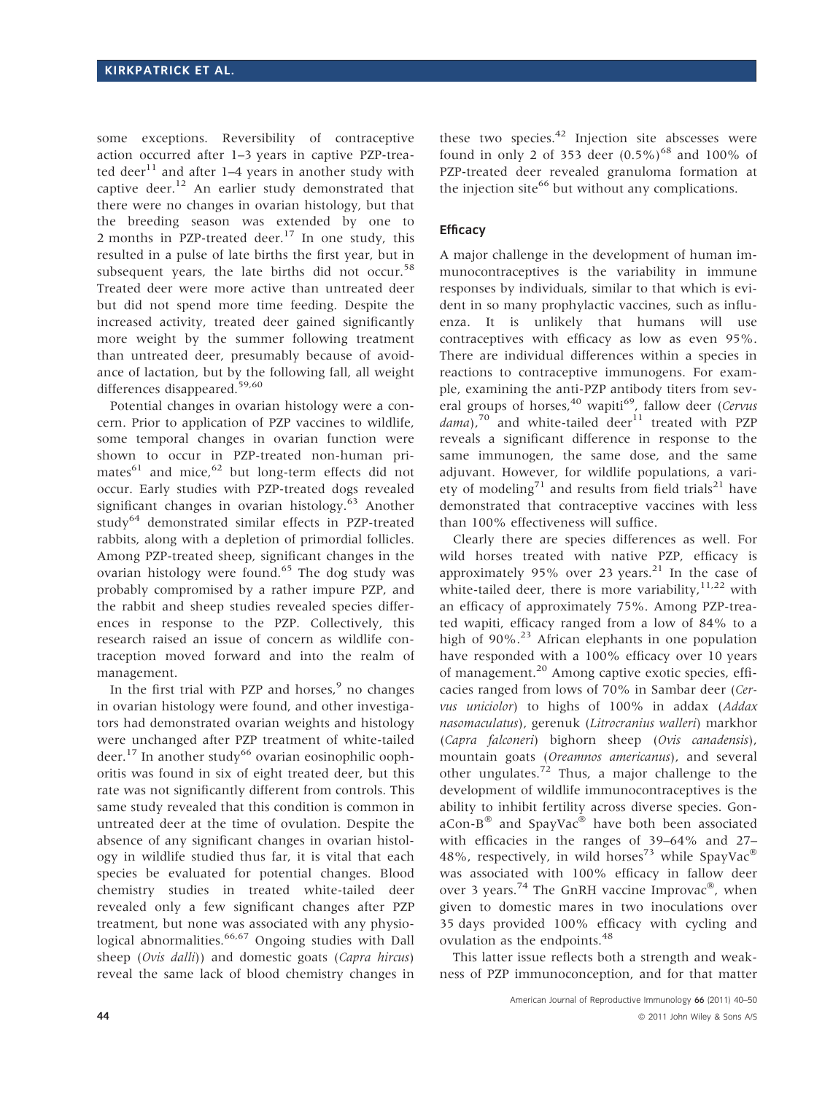some exceptions. Reversibility of contraceptive action occurred after 1–3 years in captive PZP-treated deer<sup>11</sup> and after 1–4 years in another study with captive deer.<sup>12</sup> An earlier study demonstrated that there were no changes in ovarian histology, but that the breeding season was extended by one to 2 months in PZP-treated deer.<sup>17</sup> In one study, this resulted in a pulse of late births the first year, but in subsequent years, the late births did not occur.<sup>58</sup> Treated deer were more active than untreated deer but did not spend more time feeding. Despite the increased activity, treated deer gained significantly more weight by the summer following treatment than untreated deer, presumably because of avoidance of lactation, but by the following fall, all weight differences disappeared.<sup>59,60</sup>

Potential changes in ovarian histology were a concern. Prior to application of PZP vaccines to wildlife, some temporal changes in ovarian function were shown to occur in PZP-treated non-human primates $^{61}$  and mice, $^{62}$  but long-term effects did not occur. Early studies with PZP-treated dogs revealed significant changes in ovarian histology.<sup>63</sup> Another study<sup>64</sup> demonstrated similar effects in PZP-treated rabbits, along with a depletion of primordial follicles. Among PZP-treated sheep, significant changes in the ovarian histology were found.<sup>65</sup> The dog study was probably compromised by a rather impure PZP, and the rabbit and sheep studies revealed species differences in response to the PZP. Collectively, this research raised an issue of concern as wildlife contraception moved forward and into the realm of management.

In the first trial with PZP and horses, $9$  no changes in ovarian histology were found, and other investigators had demonstrated ovarian weights and histology were unchanged after PZP treatment of white-tailed deer.<sup>17</sup> In another study<sup>66</sup> ovarian eosinophilic oophoritis was found in six of eight treated deer, but this rate was not significantly different from controls. This same study revealed that this condition is common in untreated deer at the time of ovulation. Despite the absence of any significant changes in ovarian histology in wildlife studied thus far, it is vital that each species be evaluated for potential changes. Blood chemistry studies in treated white-tailed deer revealed only a few significant changes after PZP treatment, but none was associated with any physiological abnormalities.<sup>66,67</sup> Ongoing studies with Dall sheep (Ovis dalli)) and domestic goats (Capra hircus) reveal the same lack of blood chemistry changes in these two species.<sup>42</sup> Injection site abscesses were found in only 2 of 353 deer  $(0.5\%)^{68}$  and 100% of PZP-treated deer revealed granuloma formation at the injection site<sup>66</sup> but without any complications.

## **Efficacy**

A major challenge in the development of human immunocontraceptives is the variability in immune responses by individuals, similar to that which is evident in so many prophylactic vaccines, such as influenza. It is unlikely that humans will use contraceptives with efficacy as low as even 95%. There are individual differences within a species in reactions to contraceptive immunogens. For example, examining the anti-PZP antibody titers from several groups of horses,  $40$  wapiti<sup>69</sup>, fallow deer (Cervus  $dama$ ,<sup>70</sup> and white-tailed deer<sup>11</sup> treated with PZP reveals a significant difference in response to the same immunogen, the same dose, and the same adjuvant. However, for wildlife populations, a variety of modeling<sup>71</sup> and results from field trials<sup>21</sup> have demonstrated that contraceptive vaccines with less than 100% effectiveness will suffice.

Clearly there are species differences as well. For wild horses treated with native PZP, efficacy is approximately 95% over 23 years. $^{21}$  In the case of white-tailed deer, there is more variability, $11,22$  with an efficacy of approximately 75%. Among PZP-treated wapiti, efficacy ranged from a low of 84% to a high of  $90\%$ <sup>23</sup> African elephants in one population have responded with a 100% efficacy over 10 years of management.<sup>20</sup> Among captive exotic species, efficacies ranged from lows of 70% in Sambar deer (Cervus uniciolor) to highs of 100% in addax (Addax nasomaculatus), gerenuk (Litrocranius walleri) markhor (Capra falconeri) bighorn sheep (Ovis canadensis), mountain goats (Oreamnos americanus), and several other ungulates. $72$  Thus, a major challenge to the development of wildlife immunocontraceptives is the ability to inhibit fertility across diverse species. Gon $aCon-B^{\circledast}$  and SpayVac<sup>®</sup> have both been associated with efficacies in the ranges of 39–64% and 27– 48%, respectively, in wild horses<sup>73</sup> while SpayVac<sup>®</sup> was associated with 100% efficacy in fallow deer over 3 years.<sup>74</sup> The GnRH vaccine Improvac<sup>®</sup>, when given to domestic mares in two inoculations over 35 days provided 100% efficacy with cycling and ovulation as the endpoints.<sup>48</sup>

This latter issue reflects both a strength and weakness of PZP immunoconception, and for that matter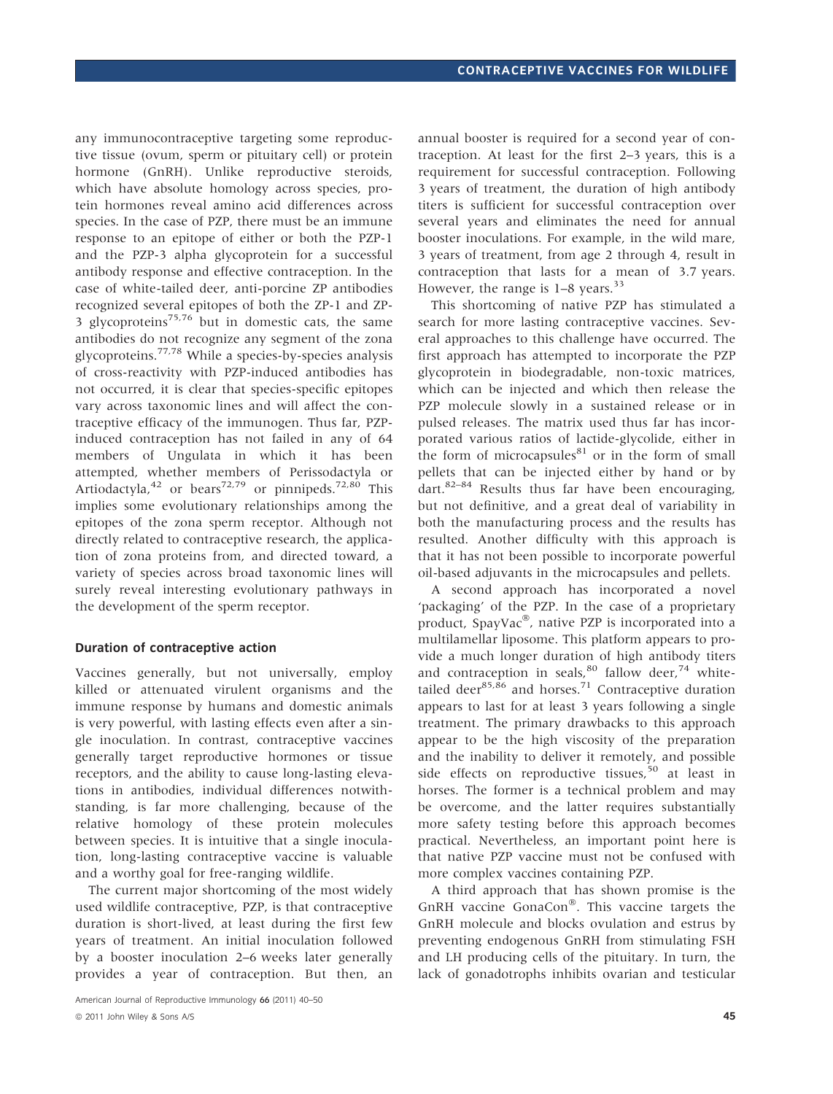any immunocontraceptive targeting some reproductive tissue (ovum, sperm or pituitary cell) or protein hormone (GnRH). Unlike reproductive steroids, which have absolute homology across species, protein hormones reveal amino acid differences across species. In the case of PZP, there must be an immune response to an epitope of either or both the PZP-1 and the PZP-3 alpha glycoprotein for a successful antibody response and effective contraception. In the case of white-tailed deer, anti-porcine ZP antibodies recognized several epitopes of both the ZP-1 and ZP-3 glycoproteins<sup>75,76</sup> but in domestic cats, the same antibodies do not recognize any segment of the zona glycoproteins.77,78 While a species-by-species analysis of cross-reactivity with PZP-induced antibodies has not occurred, it is clear that species-specific epitopes vary across taxonomic lines and will affect the contraceptive efficacy of the immunogen. Thus far, PZPinduced contraception has not failed in any of 64 members of Ungulata in which it has been attempted, whether members of Perissodactyla or Artiodactyla, $42$  or bears<sup>72,79</sup> or pinnipeds.<sup>72,80</sup> This implies some evolutionary relationships among the epitopes of the zona sperm receptor. Although not directly related to contraceptive research, the application of zona proteins from, and directed toward, a variety of species across broad taxonomic lines will surely reveal interesting evolutionary pathways in the development of the sperm receptor.

## Duration of contraceptive action

Vaccines generally, but not universally, employ killed or attenuated virulent organisms and the immune response by humans and domestic animals is very powerful, with lasting effects even after a single inoculation. In contrast, contraceptive vaccines generally target reproductive hormones or tissue receptors, and the ability to cause long-lasting elevations in antibodies, individual differences notwithstanding, is far more challenging, because of the relative homology of these protein molecules between species. It is intuitive that a single inoculation, long-lasting contraceptive vaccine is valuable and a worthy goal for free-ranging wildlife.

The current major shortcoming of the most widely used wildlife contraceptive, PZP, is that contraceptive duration is short-lived, at least during the first few years of treatment. An initial inoculation followed by a booster inoculation 2–6 weeks later generally provides a year of contraception. But then, an

annual booster is required for a second year of contraception. At least for the first 2–3 years, this is a requirement for successful contraception. Following 3 years of treatment, the duration of high antibody titers is sufficient for successful contraception over several years and eliminates the need for annual booster inoculations. For example, in the wild mare, 3 years of treatment, from age 2 through 4, result in contraception that lasts for a mean of 3.7 years. However, the range is  $1-8$  years.<sup>33</sup>

This shortcoming of native PZP has stimulated a search for more lasting contraceptive vaccines. Several approaches to this challenge have occurred. The first approach has attempted to incorporate the PZP glycoprotein in biodegradable, non-toxic matrices, which can be injected and which then release the PZP molecule slowly in a sustained release or in pulsed releases. The matrix used thus far has incorporated various ratios of lactide-glycolide, either in the form of microcapsules $81$  or in the form of small pellets that can be injected either by hand or by  $\text{dart.}^{82-84}$  Results thus far have been encouraging, but not definitive, and a great deal of variability in both the manufacturing process and the results has resulted. Another difficulty with this approach is that it has not been possible to incorporate powerful oil-based adjuvants in the microcapsules and pellets.

A second approach has incorporated a novel 'packaging' of the PZP. In the case of a proprietary product,  $SpayVac^{\circledast}$ , native PZP is incorporated into a multilamellar liposome. This platform appears to provide a much longer duration of high antibody titers and contraception in seals, $80$  fallow deer, $74$  whitetailed deer $85,86$  and horses.<sup>71</sup> Contraceptive duration appears to last for at least 3 years following a single treatment. The primary drawbacks to this approach appear to be the high viscosity of the preparation and the inability to deliver it remotely, and possible side effects on reproductive tissues,  $50$  at least in horses. The former is a technical problem and may be overcome, and the latter requires substantially more safety testing before this approach becomes practical. Nevertheless, an important point here is that native PZP vaccine must not be confused with more complex vaccines containing PZP.

A third approach that has shown promise is the GnRH vaccine GonaCon $^{\circledR}$ . This vaccine targets the GnRH molecule and blocks ovulation and estrus by preventing endogenous GnRH from stimulating FSH and LH producing cells of the pituitary. In turn, the lack of gonadotrophs inhibits ovarian and testicular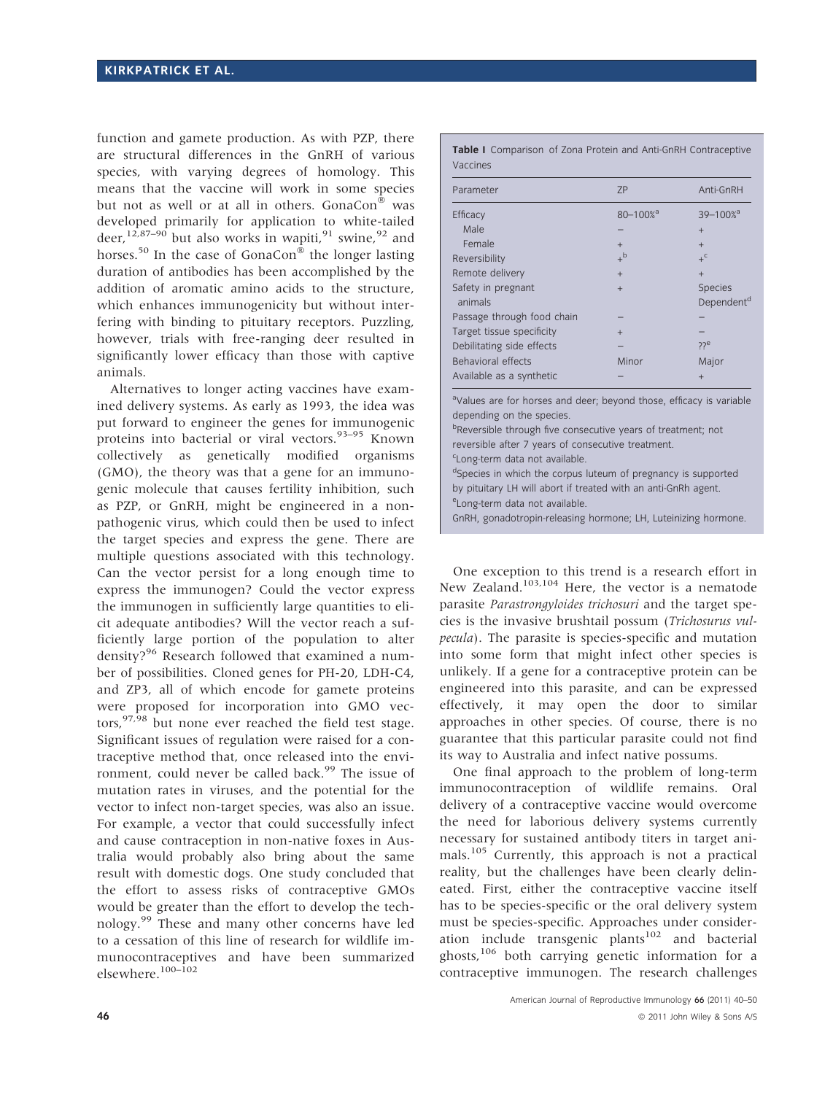function and gamete production. As with PZP, there are structural differences in the GnRH of various species, with varying degrees of homology. This means that the vaccine will work in some species but not as well or at all in others. GonaCon® was developed primarily for application to white-tailed deer,<sup>12,87–90</sup> but also works in wapiti,<sup>91</sup> swine,<sup>92</sup> and horses.<sup>50</sup> In the case of GonaCon<sup>®</sup> the longer lasting duration of antibodies has been accomplished by the addition of aromatic amino acids to the structure, which enhances immunogenicity but without interfering with binding to pituitary receptors. Puzzling, however, trials with free-ranging deer resulted in significantly lower efficacy than those with captive animals.

Alternatives to longer acting vaccines have examined delivery systems. As early as 1993, the idea was put forward to engineer the genes for immunogenic proteins into bacterial or viral vectors. $93-95$  Known collectively as genetically modified organisms (GMO), the theory was that a gene for an immunogenic molecule that causes fertility inhibition, such as PZP, or GnRH, might be engineered in a nonpathogenic virus, which could then be used to infect the target species and express the gene. There are multiple questions associated with this technology. Can the vector persist for a long enough time to express the immunogen? Could the vector express the immunogen in sufficiently large quantities to elicit adequate antibodies? Will the vector reach a sufficiently large portion of the population to alter density?<sup>96</sup> Research followed that examined a number of possibilities. Cloned genes for PH-20, LDH-C4, and ZP3, all of which encode for gamete proteins were proposed for incorporation into GMO vectors,  $97,98$  but none ever reached the field test stage. Significant issues of regulation were raised for a contraceptive method that, once released into the environment, could never be called back.<sup>99</sup> The issue of mutation rates in viruses, and the potential for the vector to infect non-target species, was also an issue. For example, a vector that could successfully infect and cause contraception in non-native foxes in Australia would probably also bring about the same result with domestic dogs. One study concluded that the effort to assess risks of contraceptive GMOs would be greater than the effort to develop the technology.99 These and many other concerns have led to a cessation of this line of research for wildlife immunocontraceptives and have been summarized elsewhere.100–102

Table I Comparison of Zona Protein and Anti-GnRH Contraceptive Vaccines

| Parameter                  | <b>ZP</b>                | Anti-GnRH              |
|----------------------------|--------------------------|------------------------|
| Efficacy                   | $80 - 100%$ <sup>a</sup> | 39-100% <sup>a</sup>   |
| Male                       |                          | $+$                    |
| Female                     | $+$                      | $+$                    |
| Reversibility              | $+^{b}$                  | $+$ <sup>C</sup>       |
| Remote delivery            | $+$                      | $+$                    |
| Safety in pregnant         | $+$                      | <b>Species</b>         |
| animals                    |                          | Dependent <sup>d</sup> |
| Passage through food chain |                          |                        |
| Target tissue specificity  | $+$                      |                        |
| Debilitating side effects  |                          | 22 <sup>e</sup>        |
| Behavioral effects         | Minor                    | Major                  |
| Available as a synthetic   |                          | $+$                    |

<sup>a</sup>Values are for horses and deer; beyond those, efficacy is variable depending on the species.

<sup>b</sup>Reversible through five consecutive years of treatment; not reversible after 7 years of consecutive treatment.

<sup>c</sup>Long-term data not available.

<sup>d</sup>Species in which the corpus luteum of pregnancy is supported by pituitary LH will abort if treated with an anti-GnRh agent. eLong-term data not available.

GnRH, gonadotropin-releasing hormone; LH, Luteinizing hormone.

One exception to this trend is a research effort in New Zealand.103,104 Here, the vector is a nematode parasite Parastrongyloides trichosuri and the target species is the invasive brushtail possum (Trichosurus vulpecula). The parasite is species-specific and mutation into some form that might infect other species is unlikely. If a gene for a contraceptive protein can be engineered into this parasite, and can be expressed effectively, it may open the door to similar approaches in other species. Of course, there is no guarantee that this particular parasite could not find its way to Australia and infect native possums.

One final approach to the problem of long-term immunocontraception of wildlife remains. Oral delivery of a contraceptive vaccine would overcome the need for laborious delivery systems currently necessary for sustained antibody titers in target animals.<sup>105</sup> Currently, this approach is not a practical reality, but the challenges have been clearly delineated. First, either the contraceptive vaccine itself has to be species-specific or the oral delivery system must be species-specific. Approaches under consideration include transgenic plants $102$  and bacterial ghosts,<sup>106</sup> both carrying genetic information for a contraceptive immunogen. The research challenges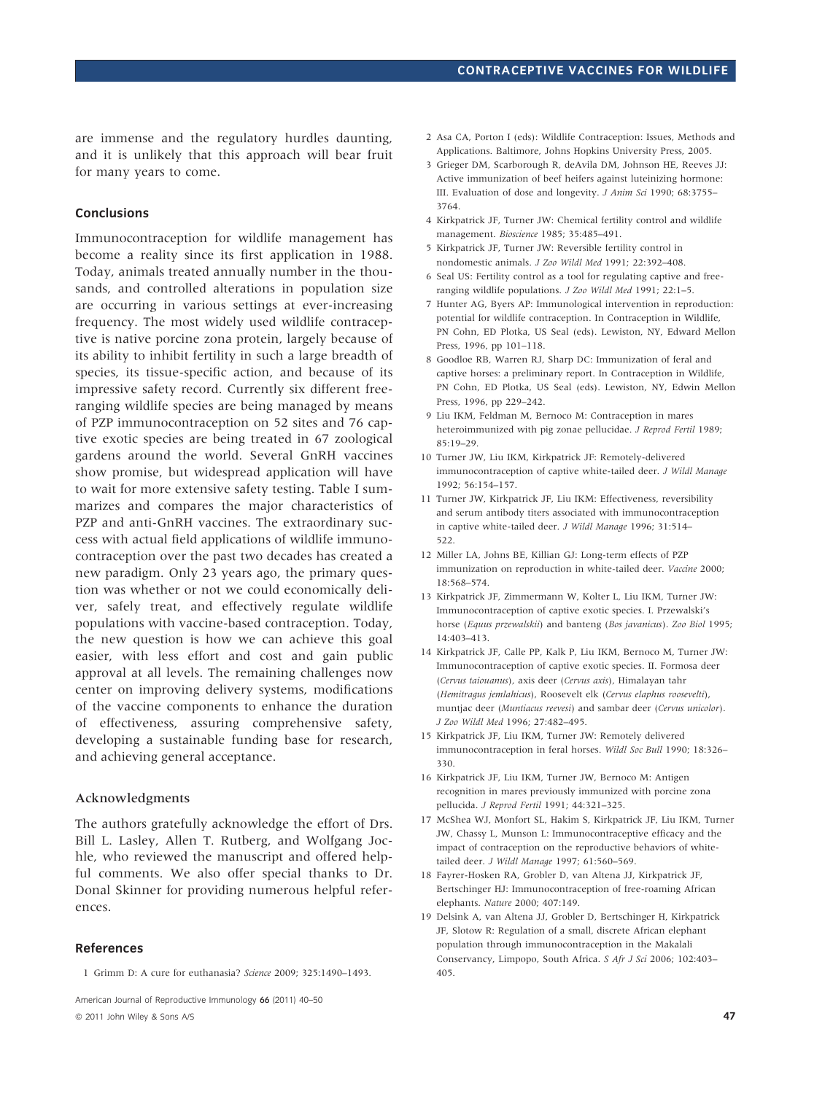are immense and the regulatory hurdles daunting, and it is unlikely that this approach will bear fruit for many years to come.

## Conclusions

Immunocontraception for wildlife management has become a reality since its first application in 1988. Today, animals treated annually number in the thousands, and controlled alterations in population size are occurring in various settings at ever-increasing frequency. The most widely used wildlife contraceptive is native porcine zona protein, largely because of its ability to inhibit fertility in such a large breadth of species, its tissue-specific action, and because of its impressive safety record. Currently six different freeranging wildlife species are being managed by means of PZP immunocontraception on 52 sites and 76 captive exotic species are being treated in 67 zoological gardens around the world. Several GnRH vaccines show promise, but widespread application will have to wait for more extensive safety testing. Table I summarizes and compares the major characteristics of PZP and anti-GnRH vaccines. The extraordinary success with actual field applications of wildlife immunocontraception over the past two decades has created a new paradigm. Only 23 years ago, the primary question was whether or not we could economically deliver, safely treat, and effectively regulate wildlife populations with vaccine-based contraception. Today, the new question is how we can achieve this goal easier, with less effort and cost and gain public approval at all levels. The remaining challenges now center on improving delivery systems, modifications of the vaccine components to enhance the duration of effectiveness, assuring comprehensive safety, developing a sustainable funding base for research, and achieving general acceptance.

## Acknowledgments

The authors gratefully acknowledge the effort of Drs. Bill L. Lasley, Allen T. Rutberg, and Wolfgang Jochle, who reviewed the manuscript and offered helpful comments. We also offer special thanks to Dr. Donal Skinner for providing numerous helpful references.

## References

1 Grimm D: A cure for euthanasia? Science 2009; 325:1490–1493.

- 2 Asa CA, Porton I (eds): Wildlife Contraception: Issues, Methods and Applications. Baltimore, Johns Hopkins University Press, 2005.
- 3 Grieger DM, Scarborough R, deAvila DM, Johnson HE, Reeves JJ: Active immunization of beef heifers against luteinizing hormone: III. Evaluation of dose and longevity. J Anim Sci 1990; 68:3755– 3764.
- 4 Kirkpatrick JF, Turner JW: Chemical fertility control and wildlife management. Bioscience 1985; 35:485–491.
- 5 Kirkpatrick JF, Turner JW: Reversible fertility control in nondomestic animals. J Zoo Wildl Med 1991; 22:392–408.
- 6 Seal US: Fertility control as a tool for regulating captive and freeranging wildlife populations. J Zoo Wildl Med 1991; 22:1–5.
- 7 Hunter AG, Byers AP: Immunological intervention in reproduction: potential for wildlife contraception. In Contraception in Wildlife, PN Cohn, ED Plotka, US Seal (eds). Lewiston, NY, Edward Mellon Press, 1996, pp 101–118.
- 8 Goodloe RB, Warren RJ, Sharp DC: Immunization of feral and captive horses: a preliminary report. In Contraception in Wildlife, PN Cohn, ED Plotka, US Seal (eds). Lewiston, NY, Edwin Mellon Press, 1996, pp 229–242.
- 9 Liu IKM, Feldman M, Bernoco M: Contraception in mares heteroimmunized with pig zonae pellucidae. J Reprod Fertil 1989; 85:19–29.
- 10 Turner JW, Liu IKM, Kirkpatrick JF: Remotely-delivered immunocontraception of captive white-tailed deer. J Wildl Manage 1992; 56:154–157.
- 11 Turner JW, Kirkpatrick JF, Liu IKM: Effectiveness, reversibility and serum antibody titers associated with immunocontraception in captive white-tailed deer. J Wildl Manage 1996; 31:514– 522.
- 12 Miller LA, Johns BE, Killian GJ: Long-term effects of PZP immunization on reproduction in white-tailed deer. Vaccine 2000; 18:568–574.
- 13 Kirkpatrick JF, Zimmermann W, Kolter L, Liu IKM, Turner JW: Immunocontraception of captive exotic species. I. Przewalski's horse (Equus przewalskii) and banteng (Bos javanicus). Zoo Biol 1995; 14:403–413.
- 14 Kirkpatrick JF, Calle PP, Kalk P, Liu IKM, Bernoco M, Turner JW: Immunocontraception of captive exotic species. II. Formosa deer (Cervus taiouanus), axis deer (Cervus axis), Himalayan tahr (Hemitragus jemlahicus), Roosevelt elk (Cervus elaphus roosevelti), muntjac deer (Muntiacus reevesi) and sambar deer (Cervus unicolor). J Zoo Wildl Med 1996; 27:482–495.
- 15 Kirkpatrick JF, Liu IKM, Turner JW: Remotely delivered immunocontraception in feral horses. Wildl Soc Bull 1990; 18:326– 330.
- 16 Kirkpatrick JF, Liu IKM, Turner JW, Bernoco M: Antigen recognition in mares previously immunized with porcine zona pellucida. J Reprod Fertil 1991; 44:321–325.
- 17 McShea WJ, Monfort SL, Hakim S, Kirkpatrick JF, Liu IKM, Turner JW, Chassy L, Munson L: Immunocontraceptive efficacy and the impact of contraception on the reproductive behaviors of whitetailed deer. J Wildl Manage 1997; 61:560–569.
- 18 Fayrer-Hosken RA, Grobler D, van Altena JJ, Kirkpatrick JF, Bertschinger HJ: Immunocontraception of free-roaming African elephants. Nature 2000; 407:149.
- 19 Delsink A, van Altena JJ, Grobler D, Bertschinger H, Kirkpatrick JF, Slotow R: Regulation of a small, discrete African elephant population through immunocontraception in the Makalali Conservancy, Limpopo, South Africa. S Afr J Sci 2006; 102:403– 405.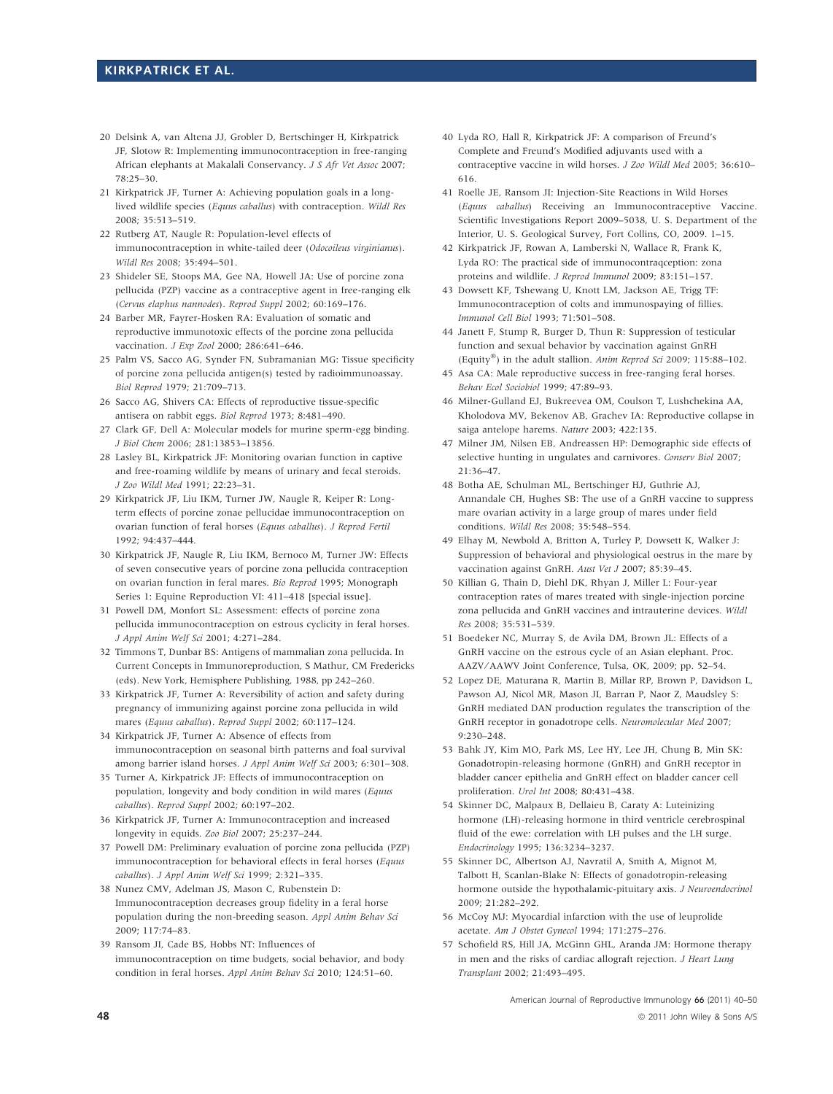- 20 Delsink A, van Altena JJ, Grobler D, Bertschinger H, Kirkpatrick JF, Slotow R: Implementing immunocontraception in free-ranging African elephants at Makalali Conservancy. J S Afr Vet Assoc 2007; 78:25–30.
- 21 Kirkpatrick JF, Turner A: Achieving population goals in a longlived wildlife species (Equus caballus) with contraception. Wildl Res 2008; 35:513–519.
- 22 Rutberg AT, Naugle R: Population-level effects of immunocontraception in white-tailed deer (Odocoileus virginianus). Wildl Res 2008; 35:494–501.
- 23 Shideler SE, Stoops MA, Gee NA, Howell JA: Use of porcine zona pellucida (PZP) vaccine as a contraceptive agent in free-ranging elk (Cervus elaphus nannodes). Reprod Suppl 2002; 60:169–176.
- 24 Barber MR, Fayrer-Hosken RA: Evaluation of somatic and reproductive immunotoxic effects of the porcine zona pellucida vaccination. *J Exp Zool* 2000; 286:641-646.
- 25 Palm VS, Sacco AG, Synder FN, Subramanian MG: Tissue specificity of porcine zona pellucida antigen(s) tested by radioimmunoassay. Biol Reprod 1979; 21:709–713.
- 26 Sacco AG, Shivers CA: Effects of reproductive tissue-specific antisera on rabbit eggs. Biol Reprod 1973; 8:481–490.
- 27 Clark GF, Dell A: Molecular models for murine sperm-egg binding. J Biol Chem 2006; 281:13853–13856.
- 28 Lasley BL, Kirkpatrick JF: Monitoring ovarian function in captive and free-roaming wildlife by means of urinary and fecal steroids. J Zoo Wildl Med 1991; 22:23–31.
- 29 Kirkpatrick JF, Liu IKM, Turner JW, Naugle R, Keiper R: Longterm effects of porcine zonae pellucidae immunocontraception on ovarian function of feral horses (Equus caballus). J Reprod Fertil 1992; 94:437–444.
- 30 Kirkpatrick JF, Naugle R, Liu IKM, Bernoco M, Turner JW: Effects of seven consecutive years of porcine zona pellucida contraception on ovarian function in feral mares. Bio Reprod 1995; Monograph Series 1: Equine Reproduction VI: 411–418 [special issue].
- 31 Powell DM, Monfort SL: Assessment: effects of porcine zona pellucida immunocontraception on estrous cyclicity in feral horses. J Appl Anim Welf Sci 2001; 4:271–284.
- 32 Timmons T, Dunbar BS: Antigens of mammalian zona pellucida. In Current Concepts in Immunoreproduction, S Mathur, CM Fredericks (eds). New York, Hemisphere Publishing, 1988, pp 242–260.
- 33 Kirkpatrick JF, Turner A: Reversibility of action and safety during pregnancy of immunizing against porcine zona pellucida in wild mares (Equus caballus). Reprod Suppl 2002; 60:117–124.
- 34 Kirkpatrick JF, Turner A: Absence of effects from immunocontraception on seasonal birth patterns and foal survival among barrier island horses. J Appl Anim Welf Sci 2003; 6:301–308.
- 35 Turner A, Kirkpatrick JF: Effects of immunocontraception on population, longevity and body condition in wild mares (Equus caballus). Reprod Suppl 2002; 60:197–202.
- 36 Kirkpatrick JF, Turner A: Immunocontraception and increased longevity in equids. Zoo Biol 2007; 25:237–244.
- 37 Powell DM: Preliminary evaluation of porcine zona pellucida (PZP) immunocontraception for behavioral effects in feral horses (Equus caballus). J Appl Anim Welf Sci 1999; 2:321–335.
- 38 Nunez CMV, Adelman JS, Mason C, Rubenstein D: Immunocontraception decreases group fidelity in a feral horse population during the non-breeding season. Appl Anim Behav Sci 2009; 117:74–83.
- 39 Ransom JI, Cade BS, Hobbs NT: Influences of immunocontraception on time budgets, social behavior, and body condition in feral horses. Appl Anim Behav Sci 2010; 124:51–60.
- 40 Lyda RO, Hall R, Kirkpatrick JF: A comparison of Freund's Complete and Freund's Modified adjuvants used with a contraceptive vaccine in wild horses. J Zoo Wildl Med 2005; 36:610– 616.
- 41 Roelle JE, Ransom JI: Injection-Site Reactions in Wild Horses (Equus caballus) Receiving an Immunocontraceptive Vaccine. Scientific Investigations Report 2009–5038, U. S. Department of the Interior, U. S. Geological Survey, Fort Collins, CO, 2009. 1–15.
- 42 Kirkpatrick JF, Rowan A, Lamberski N, Wallace R, Frank K, Lyda RO: The practical side of immunocontraqception: zona proteins and wildlife. J Reprod Immunol 2009; 83:151–157.
- 43 Dowsett KF, Tshewang U, Knott LM, Jackson AE, Trigg TF: Immunocontraception of colts and immunospaying of fillies. Immunol Cell Biol 1993; 71:501–508.
- 44 Janett F, Stump R, Burger D, Thun R: Suppression of testicular function and sexual behavior by vaccination against GnRH (Equity®) in the adult stallion. Anim Reprod Sci 2009; 115:88-102.
- 45 Asa CA: Male reproductive success in free-ranging feral horses. Behav Ecol Sociobiol 1999; 47:89–93.
- 46 Milner-Gulland EJ, Bukreevea OM, Coulson T, Lushchekina AA, Kholodova MV, Bekenov AB, Grachev IA: Reproductive collapse in saiga antelope harems. Nature 2003; 422:135.
- 47 Milner JM, Nilsen EB, Andreassen HP: Demographic side effects of selective hunting in ungulates and carnivores. Conserv Biol 2007; 21:36–47.
- 48 Botha AE, Schulman ML, Bertschinger HJ, Guthrie AJ, Annandale CH, Hughes SB: The use of a GnRH vaccine to suppress mare ovarian activity in a large group of mares under field conditions. Wildl Res 2008; 35:548–554.
- 49 Elhay M, Newbold A, Britton A, Turley P, Dowsett K, Walker J: Suppression of behavioral and physiological oestrus in the mare by vaccination against GnRH. Aust Vet J 2007; 85:39–45.
- 50 Killian G, Thain D, Diehl DK, Rhyan J, Miller L: Four-year contraception rates of mares treated with single-injection porcine zona pellucida and GnRH vaccines and intrauterine devices. Wildl Res 2008; 35:531–539.
- 51 Boedeker NC, Murray S, de Avila DM, Brown JL: Effects of a GnRH vaccine on the estrous cycle of an Asian elephant. Proc. AAZV/AAWV Joint Conference, Tulsa, OK, 2009; pp. 52-54.
- 52 Lopez DE, Maturana R, Martin B, Millar RP, Brown P, Davidson L, Pawson AJ, Nicol MR, Mason JI, Barran P, Naor Z, Maudsley S: GnRH mediated DAN production regulates the transcription of the GnRH receptor in gonadotrope cells. Neuromolecular Med 2007; 9:230–248.
- 53 Bahk JY, Kim MO, Park MS, Lee HY, Lee JH, Chung B, Min SK: Gonadotropin-releasing hormone (GnRH) and GnRH receptor in bladder cancer epithelia and GnRH effect on bladder cancer cell proliferation. Urol Int 2008; 80:431–438.
- 54 Skinner DC, Malpaux B, Dellaieu B, Caraty A: Luteinizing hormone (LH)-releasing hormone in third ventricle cerebrospinal fluid of the ewe: correlation with LH pulses and the LH surge. Endocrinology 1995; 136:3234–3237.
- 55 Skinner DC, Albertson AJ, Navratil A, Smith A, Mignot M, Talbott H, Scanlan-Blake N: Effects of gonadotropin-releasing hormone outside the hypothalamic-pituitary axis. J Neuroendocrinol 2009; 21:282–292.
- 56 McCoy MJ: Myocardial infarction with the use of leuprolide acetate. Am J Obstet Gynecol 1994; 171:275–276.
- 57 Schofield RS, Hill JA, McGinn GHL, Aranda JM: Hormone therapy in men and the risks of cardiac allograft rejection. J Heart Lung Transplant 2002; 21:493–495.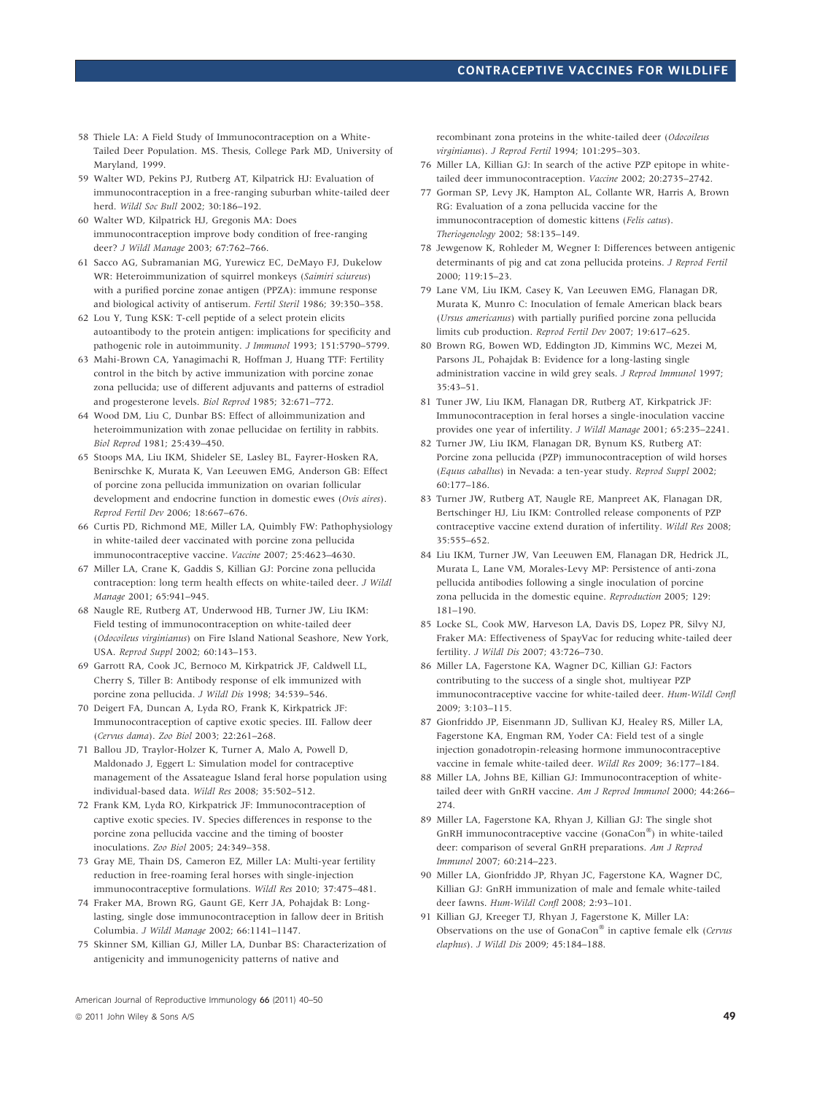- 58 Thiele LA: A Field Study of Immunocontraception on a White-Tailed Deer Population. MS. Thesis, College Park MD, University of Maryland, 1999.
- 59 Walter WD, Pekins PJ, Rutberg AT, Kilpatrick HJ: Evaluation of immunocontraception in a free-ranging suburban white-tailed deer herd. Wildl Soc Bull 2002; 30:186–192.
- 60 Walter WD, Kilpatrick HJ, Gregonis MA: Does immunocontraception improve body condition of free-ranging deer? J Wildl Manage 2003; 67:762–766.
- 61 Sacco AG, Subramanian MG, Yurewicz EC, DeMayo FJ, Dukelow WR: Heteroimmunization of squirrel monkeys (Saimiri sciureus) with a purified porcine zonae antigen (PPZA): immune response and biological activity of antiserum. Fertil Steril 1986; 39:350–358.
- 62 Lou Y, Tung KSK: T-cell peptide of a select protein elicits autoantibody to the protein antigen: implications for specificity and pathogenic role in autoimmunity. J Immunol 1993; 151:5790–5799.
- 63 Mahi-Brown CA, Yanagimachi R, Hoffman J, Huang TTF: Fertility control in the bitch by active immunization with porcine zonae zona pellucida; use of different adjuvants and patterns of estradiol and progesterone levels. Biol Reprod 1985; 32:671–772.
- 64 Wood DM, Liu C, Dunbar BS: Effect of alloimmunization and heteroimmunization with zonae pellucidae on fertility in rabbits. Biol Reprod 1981; 25:439–450.
- 65 Stoops MA, Liu IKM, Shideler SE, Lasley BL, Fayrer-Hosken RA, Benirschke K, Murata K, Van Leeuwen EMG, Anderson GB: Effect of porcine zona pellucida immunization on ovarian follicular development and endocrine function in domestic ewes (Ovis aires). Reprod Fertil Dev 2006; 18:667–676.
- 66 Curtis PD, Richmond ME, Miller LA, Quimbly FW: Pathophysiology in white-tailed deer vaccinated with porcine zona pellucida immunocontraceptive vaccine. Vaccine 2007; 25:4623–4630.
- 67 Miller LA, Crane K, Gaddis S, Killian GJ: Porcine zona pellucida contraception: long term health effects on white-tailed deer. J Wildl Manage 2001; 65:941–945.
- 68 Naugle RE, Rutberg AT, Underwood HB, Turner JW, Liu IKM: Field testing of immunocontraception on white-tailed deer (Odocoileus virginianus) on Fire Island National Seashore, New York, USA. Reprod Suppl 2002; 60:143–153.
- 69 Garrott RA, Cook JC, Bernoco M, Kirkpatrick JF, Caldwell LL, Cherry S, Tiller B: Antibody response of elk immunized with porcine zona pellucida. J Wildl Dis 1998; 34:539–546.
- 70 Deigert FA, Duncan A, Lyda RO, Frank K, Kirkpatrick JF: Immunocontraception of captive exotic species. III. Fallow deer (Cervus dama). Zoo Biol 2003; 22:261–268.
- 71 Ballou JD, Traylor-Holzer K, Turner A, Malo A, Powell D, Maldonado J, Eggert L: Simulation model for contraceptive management of the Assateague Island feral horse population using individual-based data. Wildl Res 2008; 35:502–512.
- 72 Frank KM, Lyda RO, Kirkpatrick JF: Immunocontraception of captive exotic species. IV. Species differences in response to the porcine zona pellucida vaccine and the timing of booster inoculations. Zoo Biol 2005; 24:349–358.
- 73 Gray ME, Thain DS, Cameron EZ, Miller LA: Multi-year fertility reduction in free-roaming feral horses with single-injection immunocontraceptive formulations. Wildl Res 2010; 37:475–481.
- 74 Fraker MA, Brown RG, Gaunt GE, Kerr JA, Pohajdak B: Longlasting, single dose immunocontraception in fallow deer in British Columbia. J Wildl Manage 2002; 66:1141–1147.
- 75 Skinner SM, Killian GJ, Miller LA, Dunbar BS: Characterization of antigenicity and immunogenicity patterns of native and

recombinant zona proteins in the white-tailed deer (Odocoileus virginianus). J Reprod Fertil 1994; 101:295–303.

- 76 Miller LA, Killian GJ: In search of the active PZP epitope in whitetailed deer immunocontraception. Vaccine 2002; 20:2735–2742.
- 77 Gorman SP, Levy JK, Hampton AL, Collante WR, Harris A, Brown RG: Evaluation of a zona pellucida vaccine for the immunocontraception of domestic kittens (Felis catus). Theriogenology 2002; 58:135–149.
- 78 Jewgenow K, Rohleder M, Wegner I: Differences between antigenic determinants of pig and cat zona pellucida proteins. J Reprod Fertil 2000; 119:15–23.
- 79 Lane VM, Liu IKM, Casey K, Van Leeuwen EMG, Flanagan DR, Murata K, Munro C: Inoculation of female American black bears (Ursus americanus) with partially purified porcine zona pellucida limits cub production. Reprod Fertil Dev 2007; 19:617–625.
- 80 Brown RG, Bowen WD, Eddington JD, Kimmins WC, Mezei M, Parsons JL, Pohajdak B: Evidence for a long-lasting single administration vaccine in wild grey seals. J Reprod Immunol 1997; 35:43–51.
- 81 Tuner JW, Liu IKM, Flanagan DR, Rutberg AT, Kirkpatrick JF: Immunocontraception in feral horses a single-inoculation vaccine provides one year of infertility. J Wildl Manage 2001; 65:235–2241.
- 82 Turner JW, Liu IKM, Flanagan DR, Bynum KS, Rutberg AT: Porcine zona pellucida (PZP) immunocontraception of wild horses (Equus caballus) in Nevada: a ten-year study. Reprod Suppl 2002; 60:177–186.
- 83 Turner JW, Rutberg AT, Naugle RE, Manpreet AK, Flanagan DR, Bertschinger HJ, Liu IKM: Controlled release components of PZP contraceptive vaccine extend duration of infertility. Wildl Res 2008; 35:555–652.
- 84 Liu IKM, Turner JW, Van Leeuwen EM, Flanagan DR, Hedrick JL, Murata L, Lane VM, Morales-Levy MP: Persistence of anti-zona pellucida antibodies following a single inoculation of porcine zona pellucida in the domestic equine. Reproduction 2005; 129: 181–190.
- 85 Locke SL, Cook MW, Harveson LA, Davis DS, Lopez PR, Silvy NJ, Fraker MA: Effectiveness of SpayVac for reducing white-tailed deer fertility. J Wildl Dis 2007; 43:726–730.
- 86 Miller LA, Fagerstone KA, Wagner DC, Killian GJ: Factors contributing to the success of a single shot, multiyear PZP immunocontraceptive vaccine for white-tailed deer. Hum-Wildl Confl 2009; 3:103–115.
- 87 Gionfriddo JP, Eisenmann JD, Sullivan KJ, Healey RS, Miller LA, Fagerstone KA, Engman RM, Yoder CA: Field test of a single injection gonadotropin-releasing hormone immunocontraceptive vaccine in female white-tailed deer. Wildl Res 2009; 36:177–184.
- 88 Miller LA, Johns BE, Killian GJ: Immunocontraception of whitetailed deer with GnRH vaccine. Am J Reprod Immunol 2000; 44:266– 274.
- 89 Miller LA, Fagerstone KA, Rhyan J, Killian GJ: The single shot GnRH immunocontraceptive vaccine (GonaCon®) in white-tailed deer: comparison of several GnRH preparations. Am J Reprod Immunol 2007; 60:214–223.
- 90 Miller LA, Gionfriddo JP, Rhyan JC, Fagerstone KA, Wagner DC, Killian GJ: GnRH immunization of male and female white-tailed deer fawns. Hum-Wildl Confl 2008; 2:93-101.
- 91 Killian GJ, Kreeger TJ, Rhyan J, Fagerstone K, Miller LA: Observations on the use of  $GonaCon^{\circledast}$  in captive female elk (Cervus elaphus). J Wildl Dis 2009; 45:184–188.

American Journal of Reproductive Immunology 66 (2011) 40–50  $\circledcirc$  2011 John Wiley & Sons A/S 49